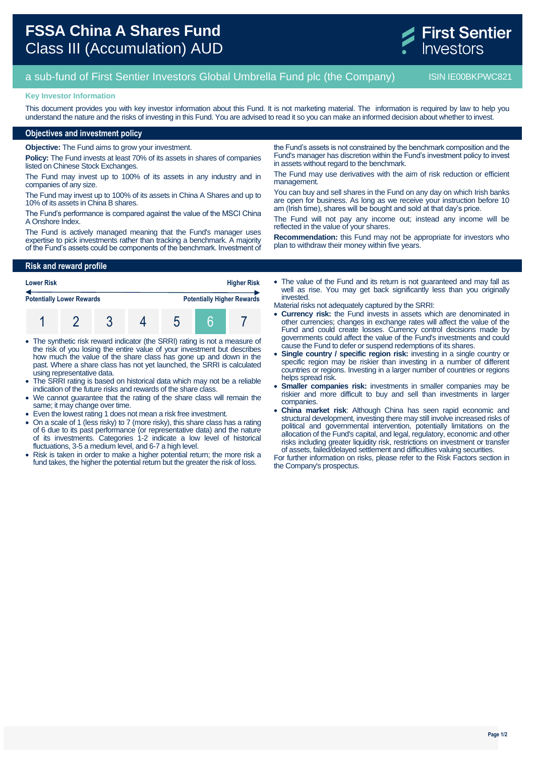

# a sub-fund of First Sentier Investors Global Umbrella Fund plc (the Company) ISIN IE00BKPWC821

#### **Key Investor Information**

This document provides you with key investor information about this Fund. It is not marketing material. The information is required by law to help you understand the nature and the risks of investing in this Fund. You are advised to read it so you can make an informed decision about whether to invest.

### **Objectives and investment policy**

**Objective:** The Fund aims to grow your investment.

**Policy:** The Fund invests at least 70% of its assets in shares of companies listed on Chinese Stock Exchanges.

The Fund may invest up to 100% of its assets in any industry and in companies of any size.

The Fund may invest up to 100% of its assets in China A Shares and up to 10% of its assets in China B shares.

The Fund's performance is compared against the value of the MSCI China A Onshore Index.

The Fund is actively managed meaning that the Fund's manager uses expertise to pick investments rather than tracking a benchmark. A majority of the Fund's assets could be components of the benchmark. Investment of

## **Risk and reward profile**

| <b>Higher Risk</b><br><b>Lower Risk</b> |  |  |  |  |  |                                   |
|-----------------------------------------|--|--|--|--|--|-----------------------------------|
| <b>Potentially Lower Rewards</b>        |  |  |  |  |  | <b>Potentially Higher Rewards</b> |
|                                         |  |  |  |  |  |                                   |

- The synthetic risk reward indicator (the SRRI) rating is not a measure of the risk of you losing the entire value of your investment but describes how much the value of the share class has gone up and down in the past. Where a share class has not yet launched, the SRRI is calculated using representative data.
- The SRRI rating is based on historical data which may not be a reliable indication of the future risks and rewards of the share class.
- We cannot guarantee that the rating of the share class will remain the same; it may change over time.
- Even the lowest rating 1 does not mean a risk free investment.
- On a scale of 1 (less risky) to 7 (more risky), this share class has a rating of 6 due to its past performance (or representative data) and the nature of its investments. Categories 1-2 indicate a low level of historical fluctuations, 3-5 a medium level, and 6-7 a high level.
- Risk is taken in order to make a higher potential return; the more risk a fund takes, the higher the potential return but the greater the risk of loss.

the Fund's assets is not constrained by the benchmark composition and the Fund's manager has discretion within the Fund's investment policy to invest in assets without regard to the benchmark.

The Fund may use derivatives with the aim of risk reduction or efficient management.

You can buy and sell shares in the Fund on any day on which Irish banks are open for business. As long as we receive your instruction before 10 am (Irish time), shares will be bought and sold at that day's price.

The Fund will not pay any income out; instead any income will be reflected in the value of your shares.

**Recommendation:** this Fund may not be appropriate for investors who plan to withdraw their money within five years.

• The value of the Fund and its return is not quaranteed and may fall as well as rise. You may get back significantly less than you originally invested.

Material risks not adequately captured by the SRRI:

- **Currency risk:** the Fund invests in assets which are denominated in other currencies; changes in exchange rates will affect the value of the Fund and could create losses. Currency control decisions made by governments could affect the value of the Fund's investments and could cause the Fund to defer or suspend redemptions of its shares.
- **Single country / specific region risk:** investing in a single country or specific region may be riskier than investing in a number of different countries or regions. Investing in a larger number of countries or regions helps spread risk.
- **Smaller companies risk:** investments in smaller companies may be riskier and more difficult to buy and sell than investments in larger companies.
- **China market risk**: Although China has seen rapid economic and structural development, investing there may still involve increased risks of political and governmental intervention, potentially limitations on the allocation of the Fund's capital, and legal, regulatory, economic and other risks including greater liquidity risk, restrictions on investment or transfer of assets, failed/delayed settlement and difficulties valuing securities.

For further information on risks, please refer to the Risk Factors section in the Company's prospectus.